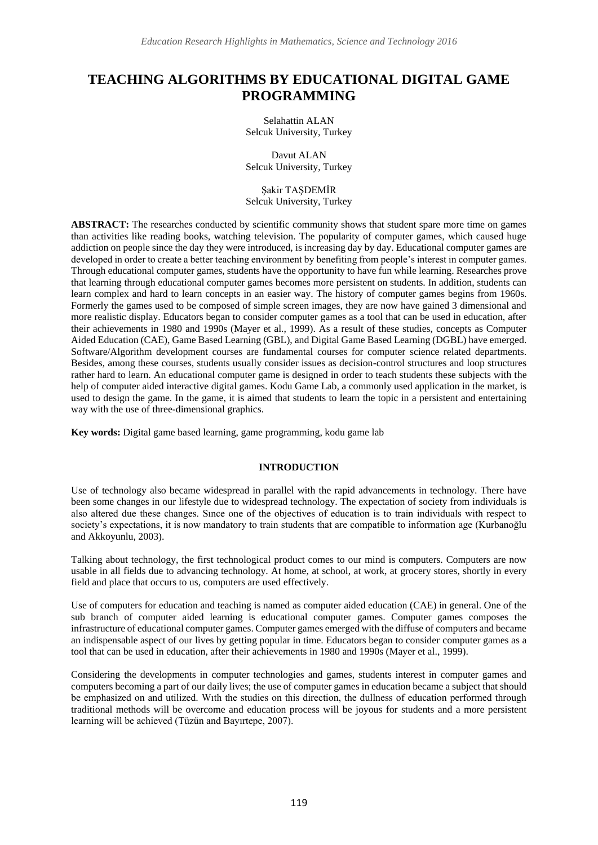# **TEACHING ALGORITHMS BY EDUCATIONAL DIGITAL GAME PROGRAMMING**

Selahattin ALAN Selcuk University, Turkey

Davut ALAN Selcuk University, Turkey

Şakir TAŞDEMİR Selcuk University, Turkey

**ABSTRACT:** The researches conducted by scientific community shows that student spare more time on games than activities like reading books, watching television. The popularity of computer games, which caused huge addiction on people since the day they were introduced, is increasing day by day. Educational computer games are developed in order to create a better teaching environment by benefiting from people's interest in computer games. Through educational computer games, students have the opportunity to have fun while learning. Researches prove that learning through educational computer games becomes more persistent on students. In addition, students can learn complex and hard to learn concepts in an easier way. The history of computer games begins from 1960s. Formerly the games used to be composed of simple screen images, they are now have gained 3 dimensional and more realistic display. Educators began to consider computer games as a tool that can be used in education, after their achievements in 1980 and 1990s (Mayer et al., 1999). As a result of these studies, concepts as Computer Aided Education (CAE), Game Based Learning (GBL), and Digital Game Based Learning (DGBL) have emerged. Software/Algorithm development courses are fundamental courses for computer science related departments. Besides, among these courses, students usually consider issues as decision-control structures and loop structures rather hard to learn. An educational computer game is designed in order to teach students these subjects with the help of computer aided interactive digital games. Kodu Game Lab, a commonly used application in the market, is used to design the game. In the game, it is aimed that students to learn the topic in a persistent and entertaining way with the use of three-dimensional graphics.

**Key words:** Digital game based learning, game programming, kodu game lab

#### **INTRODUCTION**

Use of technology also became widespread in parallel with the rapid advancements in technology. There have been some changes in our lifestyle due to widespread technology. The expectation of society from individuals is also altered due these changes. Sınce one of the objectives of education is to train individuals with respect to society's expectations, it is now mandatory to train students that are compatible to information age (Kurbanoğlu and Akkoyunlu, 2003).

Talking about technology, the first technological product comes to our mind is computers. Computers are now usable in all fields due to advancing technology. At home, at school, at work, at grocery stores, shortly in every field and place that occurs to us, computers are used effectively.

Use of computers for education and teaching is named as computer aided education (CAE) in general. One of the sub branch of computer aided learning is educational computer games. Computer games composes the infrastructure of educational computer games. Computer games emerged with the diffuse of computers and became an indispensable aspect of our lives by getting popular in time. Educators began to consider computer games as a tool that can be used in education, after their achievements in 1980 and 1990s (Mayer et al., 1999).

Considering the developments in computer technologies and games, students interest in computer games and computers becoming a part of our daily lives; the use of computer games in education became a subject that should be emphasized on and utilized. Wıth the studies on this direction, the dullness of education performed through traditional methods will be overcome and education process will be joyous for students and a more persistent learning will be achieved (Tüzün and Bayırtepe, 2007).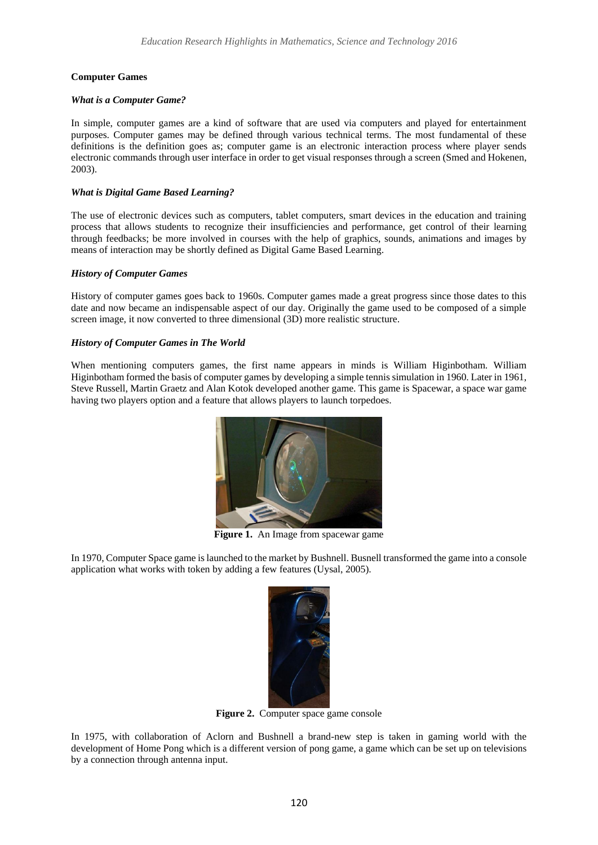#### **Computer Games**

#### *What is a Computer Game?*

In simple, computer games are a kind of software that are used via computers and played for entertainment purposes. Computer games may be defined through various technical terms. The most fundamental of these definitions is the definition goes as; computer game is an electronic interaction process where player sends electronic commands through user interface in order to get visual responses through a screen (Smed and Hokenen, 2003).

#### *What is Digital Game Based Learning?*

The use of electronic devices such as computers, tablet computers, smart devices in the education and training process that allows students to recognize their insufficiencies and performance, get control of their learning through feedbacks; be more involved in courses with the help of graphics, sounds, animations and images by means of interaction may be shortly defined as Digital Game Based Learning.

#### *History of Computer Games*

History of computer games goes back to 1960s. Computer games made a great progress since those dates to this date and now became an indispensable aspect of our day. Originally the game used to be composed of a simple screen image, it now converted to three dimensional (3D) more realistic structure.

## *History of Computer Games in The World*

When mentioning computers games, the first name appears in minds is William Higinbotham. William Higinbotham formed the basis of computer games by developing a simple tennis simulation in 1960. Later in 1961, Steve Russell, Martin Graetz and Alan Kotok developed another game. This game is Spacewar, a space war game having two players option and a feature that allows players to launch torpedoes.



**Figure 1.** An Image from spacewar game

In 1970, Computer Space game is launched to the market by Bushnell. Busnell transformed the game into a console application what works with token by adding a few features (Uysal, 2005).



**Figure 2.** Computer space game console

In 1975, with collaboration of Aclorn and Bushnell a brand-new step is taken in gaming world with the development of Home Pong which is a different version of pong game, a game which can be set up on televisions by a connection through antenna input.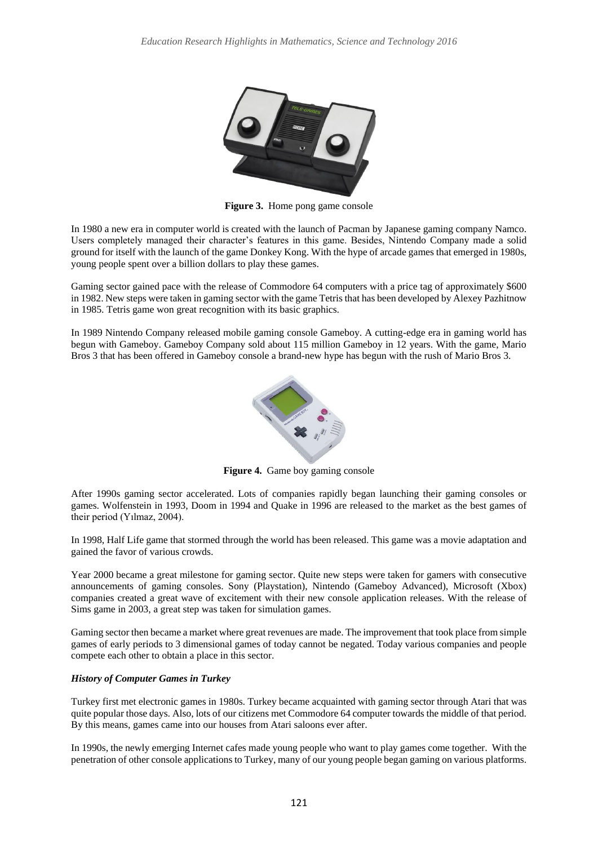

**Figure 3.** Home pong game console

In 1980 a new era in computer world is created with the launch of Pacman by Japanese gaming company Namco. Users completely managed their character's features in this game. Besides, Nintendo Company made a solid ground for itself with the launch of the game Donkey Kong. With the hype of arcade games that emerged in 1980s, young people spent over a billion dollars to play these games.

Gaming sector gained pace with the release of Commodore 64 computers with a price tag of approximately \$600 in 1982. New steps were taken in gaming sector with the game Tetris that has been developed by Alexey Pazhitnow in 1985. Tetris game won great recognition with its basic graphics.

In 1989 Nintendo Company released mobile gaming console Gameboy. A cutting-edge era in gaming world has begun with Gameboy. Gameboy Company sold about 115 million Gameboy in 12 years. With the game, Mario Bros 3 that has been offered in Gameboy console a brand-new hype has begun with the rush of Mario Bros 3.



**Figure 4.** Game boy gaming console

After 1990s gaming sector accelerated. Lots of companies rapidly began launching their gaming consoles or games. Wolfenstein in 1993, Doom in 1994 and Quake in 1996 are released to the market as the best games of their period (Yılmaz, 2004).

In 1998, Half Life game that stormed through the world has been released. This game was a movie adaptation and gained the favor of various crowds.

Year 2000 became a great milestone for gaming sector. Quite new steps were taken for gamers with consecutive announcements of gaming consoles. Sony (Playstation), Nintendo (Gameboy Advanced), Microsoft (Xbox) companies created a great wave of excitement with their new console application releases. With the release of Sims game in 2003, a great step was taken for simulation games.

Gaming sector then became a market where great revenues are made. The improvement that took place from simple games of early periods to 3 dimensional games of today cannot be negated. Today various companies and people compete each other to obtain a place in this sector.

# *History of Computer Games in Turkey*

Turkey first met electronic games in 1980s. Turkey became acquainted with gaming sector through Atari that was quite popular those days. Also, lots of our citizens met Commodore 64 computer towards the middle of that period. By this means, games came into our houses from Atari saloons ever after.

In 1990s, the newly emerging Internet cafes made young people who want to play games come together. With the penetration of other console applications to Turkey, many of our young people began gaming on various platforms.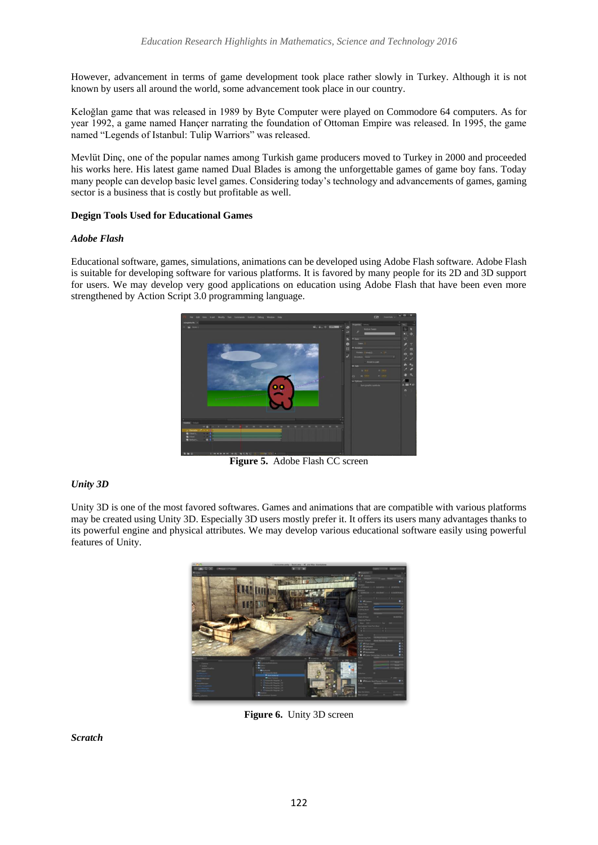However, advancement in terms of game development took place rather slowly in Turkey. Although it is not known by users all around the world, some advancement took place in our country.

Keloğlan game that was released in 1989 by Byte Computer were played on Commodore 64 computers. As for year 1992, a game named Hançer narrating the foundation of Ottoman Empire was released. In 1995, the game named "Legends of Istanbul: Tulip Warriors" was released.

Mevlüt Dinç, one of the popular names among Turkish game producers moved to Turkey in 2000 and proceeded his works here. His latest game named Dual Blades is among the unforgettable games of game boy fans. Today many people can develop basic level games. Considering today's technology and advancements of games, gaming sector is a business that is costly but profitable as well.

#### **Degign Tools Used for Educational Games**

## *Adobe Flash*

Educational software, games, simulations, animations can be developed using Adobe Flash software. Adobe Flash is suitable for developing software for various platforms. It is favored by many people for its 2D and 3D support for users. We may develop very good applications on education using Adobe Flash that have been even more strengthened by Action Script 3.0 programming language.



**Figure 5.** Adobe Flash CC screen

# *Unity 3D*

Unity 3D is one of the most favored softwares. Games and animations that are compatible with various platforms may be created using Unity 3D. Especially 3D users mostly prefer it. It offers its users many advantages thanks to its powerful engine and physical attributes. We may develop various educational software easily using powerful features of Unity.



**Figure 6.** Unity 3D screen

*Scratch*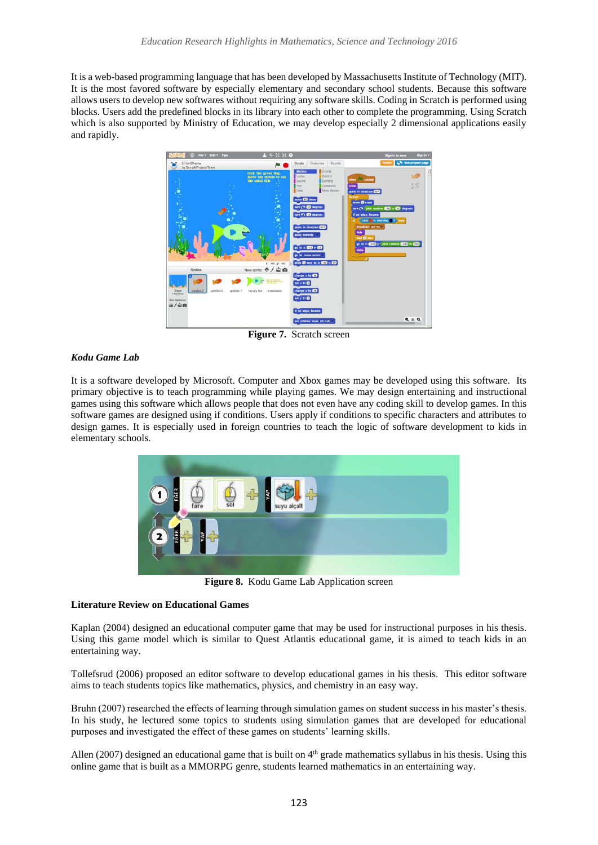It is a web-based programming language that has been developed by Massachusetts Institute of Technology (MIT). It is the most favored software by especially elementary and secondary school students. Because this software allows users to develop new softwares without requiring any software skills. Coding in Scratch is performed using blocks. Users add the predefined blocks in its library into each other to complete the programming. Using Scratch which is also supported by Ministry of Education, we may develop especially 2 dimensional applications easily and rapidly.



**Figure 7.** Scratch screen

#### *Kodu Game Lab*

It is a software developed by Microsoft. Computer and Xbox games may be developed using this software. Its primary objective is to teach programming while playing games. We may design entertaining and instructional games using this software which allows people that does not even have any coding skill to develop games. In this software games are designed using if conditions. Users apply if conditions to specific characters and attributes to design games. It is especially used in foreign countries to teach the logic of software development to kids in elementary schools.



**Figure 8.** Kodu Game Lab Application screen

#### **Literature Review on Educational Games**

Kaplan (2004) designed an educational computer game that may be used for instructional purposes in his thesis. Using this game model which is similar to Quest Atlantis educational game, it is aimed to teach kids in an entertaining way.

Tollefsrud (2006) proposed an editor software to develop educational games in his thesis. This editor software aims to teach students topics like mathematics, physics, and chemistry in an easy way.

Bruhn (2007) researched the effects of learning through simulation games on student success in his master's thesis. In his study, he lectured some topics to students using simulation games that are developed for educational purposes and investigated the effect of these games on students' learning skills.

Allen (2007) designed an educational game that is built on  $4<sup>th</sup>$  grade mathematics syllabus in his thesis. Using this online game that is built as a MMORPG genre, students learned mathematics in an entertaining way.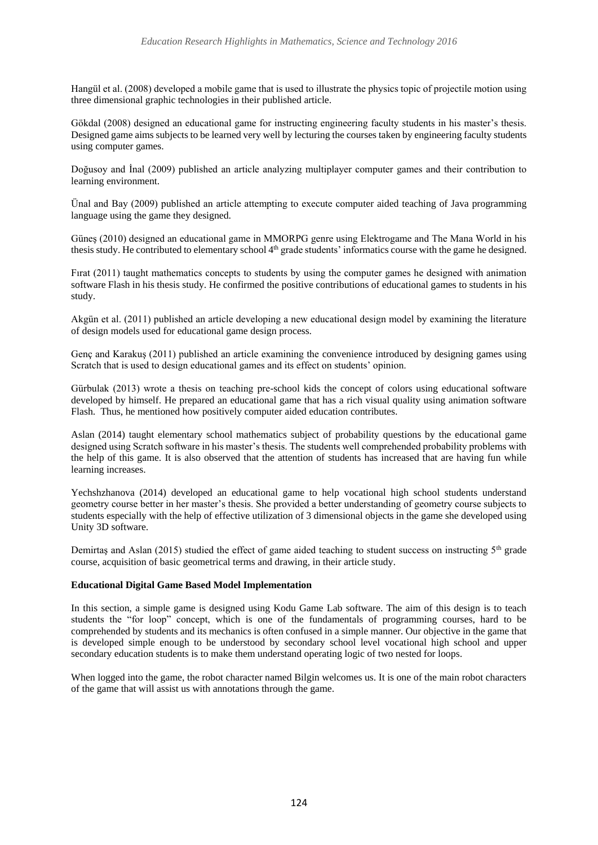Hangül et al. (2008) developed a mobile game that is used to illustrate the physics topic of projectile motion using three dimensional graphic technologies in their published article.

Gökdal (2008) designed an educational game for instructing engineering faculty students in his master's thesis. Designed game aims subjects to be learned very well by lecturing the courses taken by engineering faculty students using computer games.

Doğusoy and İnal (2009) published an article analyzing multiplayer computer games and their contribution to learning environment.

Ünal and Bay (2009) published an article attempting to execute computer aided teaching of Java programming language using the game they designed.

Güneş (2010) designed an educational game in MMORPG genre using Elektrogame and The Mana World in his thesis study. He contributed to elementary school  $4<sup>th</sup>$  grade students' informatics course with the game he designed.

Fırat (2011) taught mathematics concepts to students by using the computer games he designed with animation software Flash in his thesis study. He confirmed the positive contributions of educational games to students in his study.

Akgün et al. (2011) published an article developing a new educational design model by examining the literature of design models used for educational game design process.

Genç and Karakuş (2011) published an article examining the convenience introduced by designing games using Scratch that is used to design educational games and its effect on students' opinion.

Gürbulak (2013) wrote a thesis on teaching pre-school kids the concept of colors using educational software developed by himself. He prepared an educational game that has a rich visual quality using animation software Flash. Thus, he mentioned how positively computer aided education contributes.

Aslan (2014) taught elementary school mathematics subject of probability questions by the educational game designed using Scratch software in his master's thesis. The students well comprehended probability problems with the help of this game. It is also observed that the attention of students has increased that are having fun while learning increases.

Yechshzhanova (2014) developed an educational game to help vocational high school students understand geometry course better in her master's thesis. She provided a better understanding of geometry course subjects to students especially with the help of effective utilization of 3 dimensional objects in the game she developed using Unity 3D software.

Demirtaş and Aslan (2015) studied the effect of game aided teaching to student success on instructing 5<sup>th</sup> grade course, acquisition of basic geometrical terms and drawing, in their article study.

#### **Educational Digital Game Based Model Implementation**

In this section, a simple game is designed using Kodu Game Lab software. The aim of this design is to teach students the "for loop" concept, which is one of the fundamentals of programming courses, hard to be comprehended by students and its mechanics is often confused in a simple manner. Our objective in the game that is developed simple enough to be understood by secondary school level vocational high school and upper secondary education students is to make them understand operating logic of two nested for loops.

When logged into the game, the robot character named Bilgin welcomes us. It is one of the main robot characters of the game that will assist us with annotations through the game.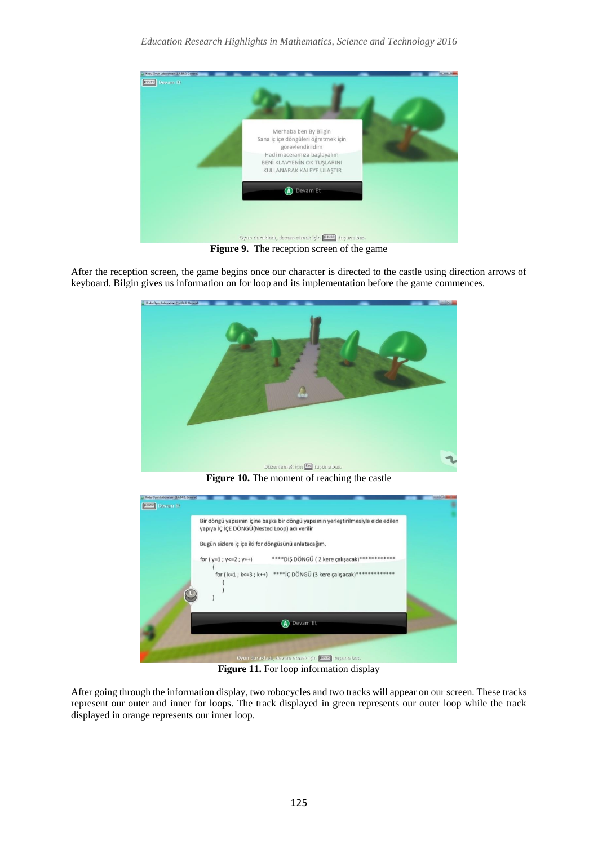

**Figure 9.** The reception screen of the game

After the reception screen, the game begins once our character is directed to the castle using direction arrows of keyboard. Bilgin gives us information on for loop and its implementation before the game commences.



**Figure 10.** The moment of reaching the castle

| Kodu Oyun Laboratuan (1.4.54.0, General) |                                                                                                                                    |  |
|------------------------------------------|------------------------------------------------------------------------------------------------------------------------------------|--|
| pause Devam Et                           |                                                                                                                                    |  |
|                                          |                                                                                                                                    |  |
|                                          | Bir döngü yapısının içine başka bir döngü yapısının yerleştirilmesiyle elde edilen<br>yapıya İÇ İÇE DÖNGÜ(Nested Loop) adı verilir |  |
|                                          | Bugün sizlere iç içe iki for döngüsünü anlatacağım.                                                                                |  |
|                                          | for (y=1; y<=2; y++) **** DIŞ DÖNGÜ (2 kere çalışacak)**********                                                                   |  |
|                                          | for (k=1; k<=3; k++) ****ic DÖNGÜ (3 kere calışacak)**************                                                                 |  |
|                                          |                                                                                                                                    |  |
|                                          | Devam Et                                                                                                                           |  |
|                                          |                                                                                                                                    |  |
|                                          | Oyun durakladı, devam etmeklçin pause tuşuna bas.                                                                                  |  |

Figure 11. For loop information display

After going through the information display, two robocycles and two tracks will appear on our screen. These tracks represent our outer and inner for loops. The track displayed in green represents our outer loop while the track displayed in orange represents our inner loop.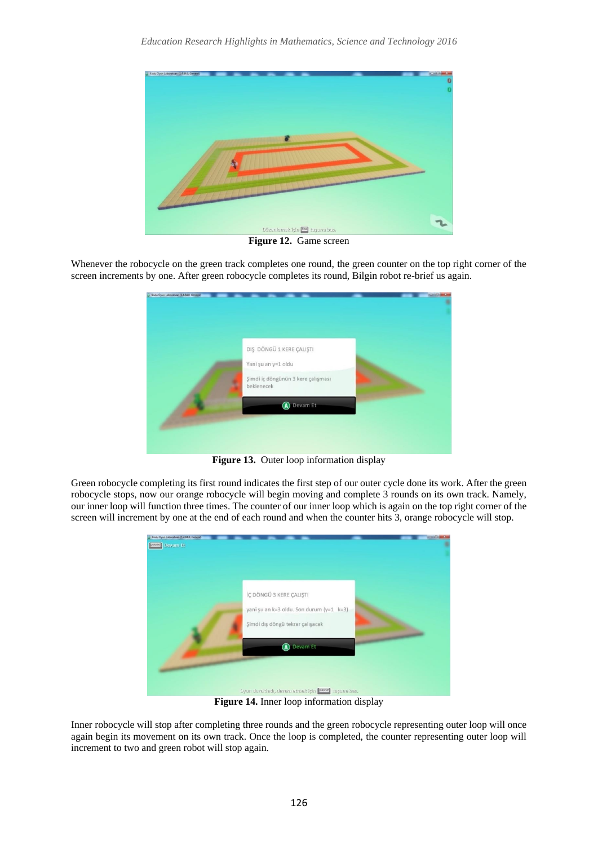

**Figure 12.** Game screen

Whenever the robocycle on the green track completes one round, the green counter on the top right corner of the screen increments by one. After green robocycle completes its round, Bilgin robot re-brief us again.



Figure 13. Outer loop information display

Green robocycle completing its first round indicates the first step of our outer cycle done its work. After the green robocycle stops, now our orange robocycle will begin moving and complete 3 rounds on its own track. Namely, our inner loop will function three times. The counter of our inner loop which is again on the top right corner of the screen will increment by one at the end of each round and when the counter hits 3, orange robocycle will stop.



**Figure 14.** Inner loop information display

Inner robocycle will stop after completing three rounds and the green robocycle representing outer loop will once again begin its movement on its own track. Once the loop is completed, the counter representing outer loop will increment to two and green robot will stop again.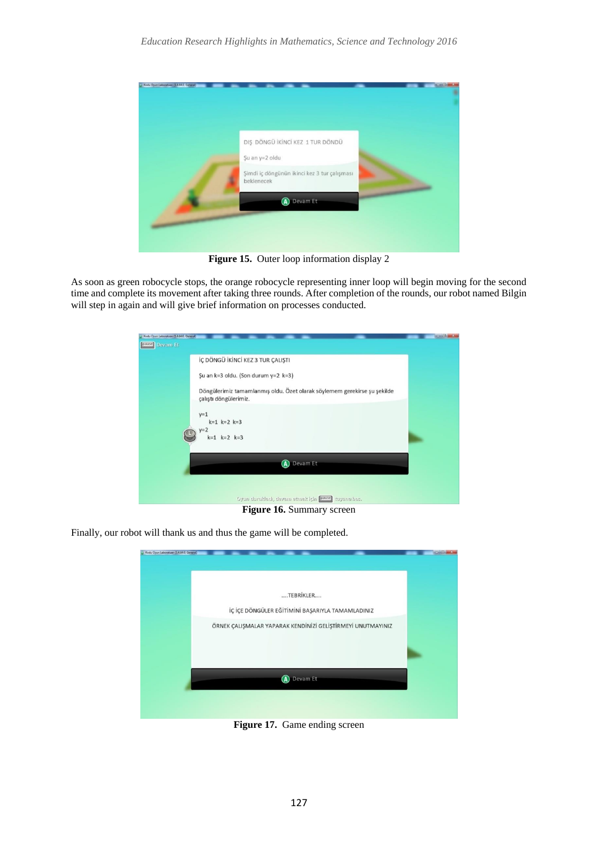

**Figure 15.** Outer loop information display 2

As soon as green robocycle stops, the orange robocycle representing inner loop will begin moving for the second time and complete its movement after taking three rounds. After completion of the rounds, our robot named Bilgin will step in again and will give brief information on processes conducted.

| Kodu Oyun Laboratuan (1.4.84.0, General)                                                                        | $\frac{1}{2}$ |
|-----------------------------------------------------------------------------------------------------------------|---------------|
| pause Devam Et                                                                                                  |               |
|                                                                                                                 |               |
| İÇ DÖNGÜ İKİNCİ KEZ 3 TUR ÇALIŞTI                                                                               |               |
| Şu an k=3 oldu. (Son durum y=2 k=3)<br>Döngülerimiz tamamlanmış oldu. Özet olarak söylemem gerekirse şu şekilde |               |
| çalıştı döngülerimiz.                                                                                           |               |
| $y=1$<br>$k=1$ $k=2$ $k=3$<br>$y=2$<br>$k=1$ $k=2$ $k=3$                                                        |               |
| Devam Et                                                                                                        |               |
|                                                                                                                 |               |
| Oyun durakladı, devam etmek için pause tuşuna bas.                                                              |               |
| Figure 16. Summary screen                                                                                       |               |

Finally, our robot will thank us and thus the game will be completed.

| Kodu Oyun Laboratuan (1.4.840, General) |                                                               | <b>SCHOOL</b> |
|-----------------------------------------|---------------------------------------------------------------|---------------|
|                                         | TEBRİKLER<br>İÇ İÇE DÖNGÜLER EĞİTİMİNİ BAŞARIYLA TAMAMLADINIZ |               |
|                                         | ÖRNEK ÇALIŞMALAR YAPARAK KENDİNİZİ GELİŞTİRMEYİ UNUTMAYINIZ   |               |
|                                         | Devam Et                                                      |               |
|                                         |                                                               |               |

**Figure 17.** Game ending screen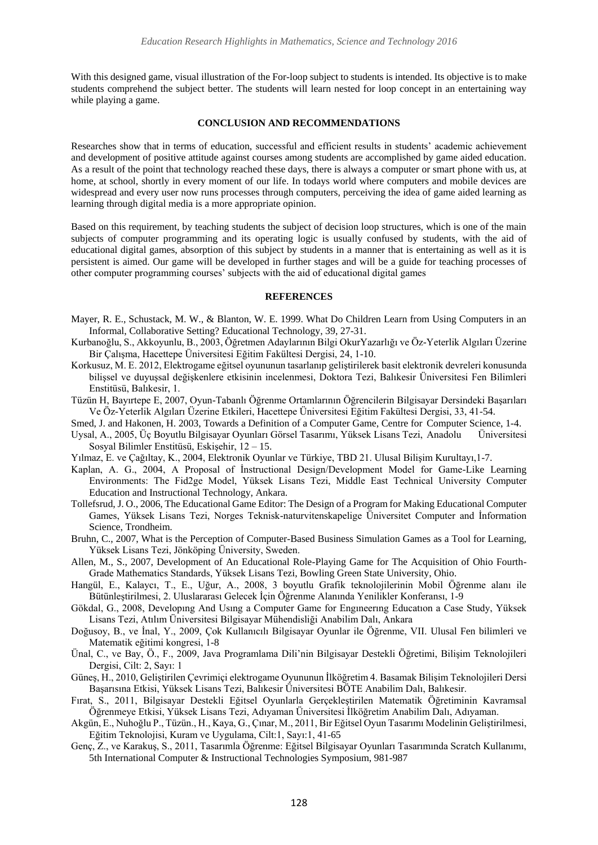With this designed game, visual illustration of the For-loop subject to students is intended. Its objective is to make students comprehend the subject better. The students will learn nested for loop concept in an entertaining way while playing a game.

#### **CONCLUSION AND RECOMMENDATIONS**

Researches show that in terms of education, successful and efficient results in students' academic achievement and development of positive attitude against courses among students are accomplished by game aided education. As a result of the point that technology reached these days, there is always a computer or smart phone with us, at home, at school, shortly in every moment of our life. In todays world where computers and mobile devices are widespread and every user now runs processes through computers, perceiving the idea of game aided learning as learning through digital media is a more appropriate opinion.

Based on this requirement, by teaching students the subject of decision loop structures, which is one of the main subjects of computer programming and its operating logic is usually confused by students, with the aid of educational digital games, absorption of this subject by students in a manner that is entertaining as well as it is persistent is aimed. Our game will be developed in further stages and will be a guide for teaching processes of other computer programming courses' subjects with the aid of educational digital games

#### **REFERENCES**

- Mayer, R. E., Schustack, M. W., & Blanton, W. E. 1999. What Do Children Learn from Using Computers in an Informal, Collaborative Setting? Educational Technology, 39, 27-31.
- Kurbanoğlu, S., Akkoyunlu, B., 2003, Öğretmen Adaylarının Bilgi OkurYazarlığı ve Öz-Yeterlik Algıları Üzerine Bir Çalışma, Hacettepe Üniversitesi Eğitim Fakültesi Dergisi, 24, 1-10.
- Korkusuz, M. E. 2012, Elektrogame eğitsel oyununun tasarlanıp geliştirilerek basit elektronik devreleri konusunda bilişsel ve duyuşsal değişkenlere etkisinin incelenmesi, Doktora Tezi, Balıkesir Üniversitesi Fen Bilimleri Enstitüsü, Balıkesir, 1.
- Tüzün H, Bayırtepe E, 2007, Oyun-Tabanlı Öğrenme Ortamlarının Öğrencilerin Bilgisayar Dersindeki Başarıları Ve Öz-Yeterlik Algıları Üzerine Etkileri, Hacettepe Üniversitesi Eğitim Fakültesi Dergisi, 33, 41-54.
- Smed, J. and Hakonen, H. 2003, Towards a Definition of a Computer Game, Centre for Computer Science, 1-4.
- Uysal, A., 2005, Üç Boyutlu Bilgisayar Oyunları Görsel Tasarımı, Yüksek Lisans Tezi, Anadolu Üniversitesi Sosyal Bilimler Enstitüsü, Eskişehir, 12 – 15.
- Yılmaz, E. ve Çağıltay, K., 2004, Elektronik Oyunlar ve Türkiye, TBD 21. Ulusal Bilişim Kurultayı,1-7.
- Kaplan, A. G., 2004, A Proposal of İnstructional Design/Development Model for Game-Like Learning Environments: The Fid2ge Model, Yüksek Lisans Tezi, Middle East Technical University Computer Education and Instructional Technology, Ankara.
- Tollefsrud, J. O., 2006, The Educational Game Editor: The Design of a Program for Making Educational Computer Games, Yüksek Lisans Tezi, Norges Teknisk-naturvitenskapelige Üniversitet Computer and İnformation Science, Trondheim.
- Bruhn, C., 2007, What is the Perception of Computer-Based Business Simulation Games as a Tool for Learning, Yüksek Lisans Tezi, Jönköping Üniversity, Sweden.
- Allen, M., S., 2007, Development of An Educational Role-Playing Game for The Acquisition of Ohio Fourth-Grade Mathematics Standards, Yüksek Lisans Tezi, Bowling Green State University, Ohio.
- Hangül, E., Kalaycı, T., E., Uğur, A., 2008, 3 boyutlu Grafik teknolojilerinin Mobil Öğrenme alanı ile Bütünleştirilmesi, 2. Uluslararası Gelecek İçin Öğrenme Alanında Yenilikler Konferansı, 1-9
- Gökdal, G., 2008, Developıng And Usıng a Computer Game for Engıneerıng Educatıon a Case Study, Yüksek Lisans Tezi, Atılım Üniversitesi Bilgisayar Mühendisliği Anabilim Dalı, Ankara
- Doğusoy, B., ve İnal, Y., 2009, Çok Kullanıcılı Bilgisayar Oyunlar ile Öğrenme, VII. Ulusal Fen bilimleri ve Matematik eğitimi kongresi, 1-8
- Ünal, C., ve Bay, Ö., F., 2009, Java Programlama Dili'nin Bilgisayar Destekli Öğretimi, Bilişim Teknolojileri Dergisi, Cilt: 2, Sayı: 1
- Güneş, H., 2010, Geliştirilen Çevrimiçi elektrogame Oyununun İlköğretim 4. Basamak Bilişim Teknolojileri Dersi Başarısına Etkisi, Yüksek Lisans Tezi, Balıkesir Üniversitesi BÖTE Anabilim Dalı, Balıkesir.
- Fırat, S., 2011, Bilgisayar Destekli Eğitsel Oyunlarla Gerçekleştirilen Matematik Öğretiminin Kavramsal Öğrenmeye Etkisi, Yüksek Lisans Tezi, Adıyaman Üniversitesi İlköğretim Anabilim Dalı, Adıyaman.
- Akgün, E., Nuhoğlu P., Tüzün., H., Kaya, G., Çınar, M., 2011, Bir Eğitsel Oyun Tasarımı Modelinin Geliştirilmesi, Eğitim Teknolojisi, Kuram ve Uygulama, Cilt:1, Sayı:1, 41-65
- Genç, Z., ve Karakuş, S., 2011, Tasarımla Öğrenme: Eğitsel Bilgisayar Oyunları Tasarımında Scratch Kullanımı, 5th International Computer & Instructional Technologies Symposium, 981-987